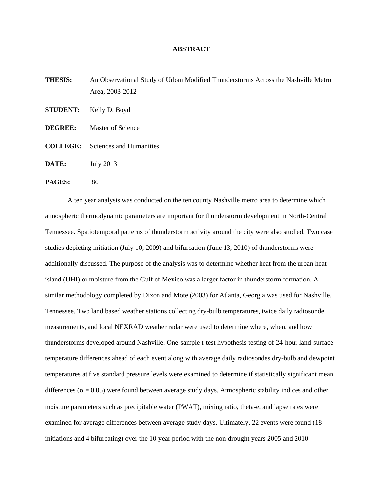## **ABSTRACT**

**THESIS:** An Observational Study of Urban Modified Thunderstorms Across the Nashville Metro Area, 2003-2012

- **STUDENT:** Kelly D. Boyd
- **DEGREE:** Master of Science
- **COLLEGE:** Sciences and Humanities

**DATE:** July 2013

## **PAGES:** 86

A ten year analysis was conducted on the ten county Nashville metro area to determine which atmospheric thermodynamic parameters are important for thunderstorm development in North-Central Tennessee. Spatiotemporal patterns of thunderstorm activity around the city were also studied. Two case studies depicting initiation (July 10, 2009) and bifurcation (June 13, 2010) of thunderstorms were additionally discussed. The purpose of the analysis was to determine whether heat from the urban heat island (UHI) or moisture from the Gulf of Mexico was a larger factor in thunderstorm formation. A similar methodology completed by Dixon and Mote (2003) for Atlanta, Georgia was used for Nashville, Tennessee. Two land based weather stations collecting dry-bulb temperatures, twice daily radiosonde measurements, and local NEXRAD weather radar were used to determine where, when, and how thunderstorms developed around Nashville. One-sample t-test hypothesis testing of 24-hour land-surface temperature differences ahead of each event along with average daily radiosondes dry-bulb and dewpoint temperatures at five standard pressure levels were examined to determine if statistically significant mean differences ( $\alpha$  = 0.05) were found between average study days. Atmospheric stability indices and other moisture parameters such as precipitable water (PWAT), mixing ratio, theta-e, and lapse rates were examined for average differences between average study days. Ultimately, 22 events were found (18 initiations and 4 bifurcating) over the 10-year period with the non-drought years 2005 and 2010